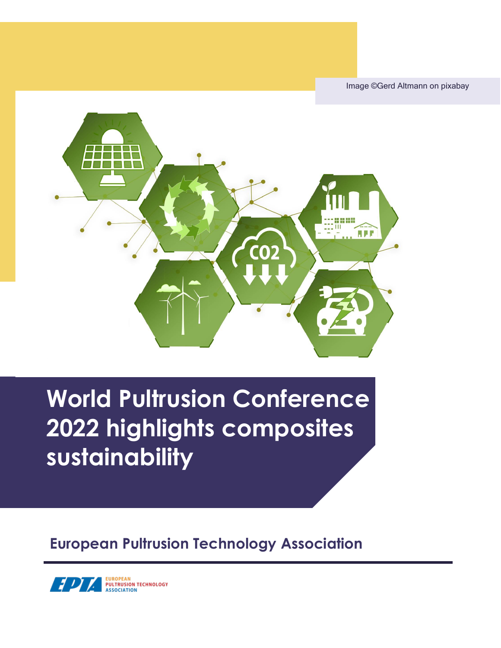Image ©Gerd Altmann on pixabay



# **World Pultrusion Conference 2022 highlights composites sustainability**

**European Pultrusion Technology Association**

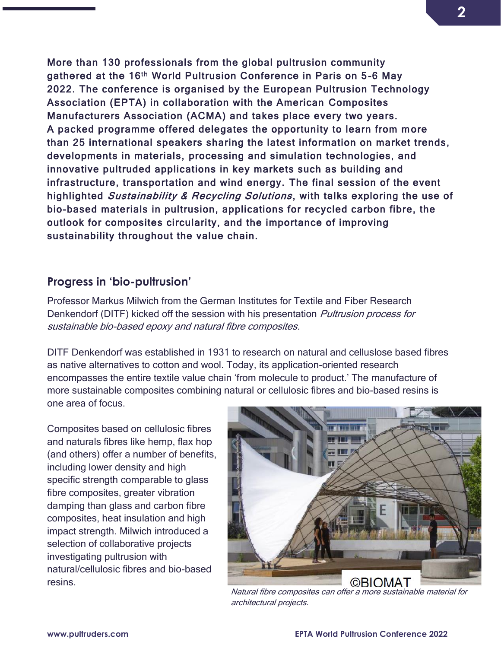More than 130 professionals from the global pultrusion community gathered at the 16<sup>th</sup> World Pultrusion Conference in Paris on 5-6 May 2022. The conference is organised by the European Pultrusion Technology Association (EPTA) in collaboration with the American Composites Manufacturers Association (ACMA) and takes place every two years. A packed programme offered delegates the opportunity to learn from m ore than 25 international speakers sharing the latest information on market trends, developments in materials, processing and simulation technologies, and innovative pultruded applications in key markets such as building and infrastructure, transportation and wind energy. The final session of the event highlighted Sustainability & Recycling Solutions, with talks exploring the use of bio-based materials in pultrusion, applications for recycled carbon fibre, the outlook for composites circularity, and the importance of improving sustainability throughout the value chain.

#### **Progress in 'bio-pultrusion'**

Professor Markus Milwich from the German Institutes for Textile and Fiber Research Denkendorf (DITF) kicked off the session with his presentation *Pultrusion process for* sustainable bio-based epoxy and natural fibre composites.

DITF Denkendorf was established in 1931 to research on natural and celluslose based fibres as native alternatives to cotton and wool. Today, its application-oriented research encompasses the entire textile value chain 'from molecule to product.' The manufacture of more sustainable composites combining natural or cellulosic fibres and bio-based resins is one area of focus.

Composites based on cellulosic fibres and naturals fibres like hemp, flax hop (and others) offer a number of benefits, including lower density and high specific strength comparable to glass fibre composites, greater vibration damping than glass and carbon fibre composites, heat insulation and high impact strength. Milwich introduced a selection of collaborative projects investigating pultrusion with natural/cellulosic fibres and bio-based resins.



Natural fibre composites can offer a more sustainable material for architectural projects.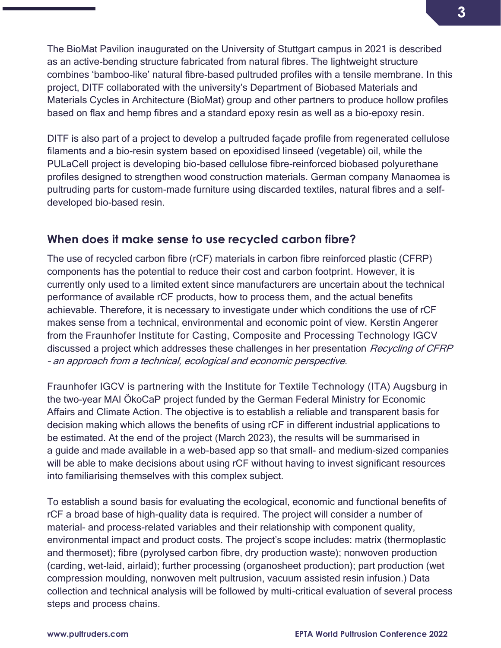The BioMat Pavilion inaugurated on the University of Stuttgart campus in 2021 is described as an active-bending structure fabricated from natural fibres. The lightweight structure combines 'bamboo-like' natural fibre-based pultruded profiles with a tensile membrane. In this project, DITF collaborated with the university's Department of Biobased Materials and Materials Cycles in Architecture (BioMat) group and other partners to produce hollow profiles based on flax and hemp fibres and a standard epoxy resin as well as a bio-epoxy resin.

DITF is also part of a project to develop a pultruded façade profile from regenerated cellulose filaments and a bio-resin system based on epoxidised linseed (vegetable) oil, while the PULaCell project is developing bio-based cellulose fibre-reinforced biobased polyurethane profiles designed to strengthen wood construction materials. German company Manaomea is pultruding parts for custom-made furniture using discarded textiles, natural fibres and a selfdeveloped bio-based resin.

#### **When does it make sense to use recycled carbon fibre?**

The use of recycled carbon fibre (rCF) materials in carbon fibre reinforced plastic (CFRP) components has the potential to reduce their cost and carbon footprint. However, it is currently only used to a limited extent since manufacturers are uncertain about the technical performance of available rCF products, how to process them, and the actual benefits achievable. Therefore, it is necessary to investigate under which conditions the use of rCF makes sense from a technical, environmental and economic point of view. Kerstin Angerer from the Fraunhofer Institute for Casting, Composite and Processing Technology IGCV discussed a project which addresses these challenges in her presentation Recycling of CFRP – an approach from a technical, ecological and economic perspective.

Fraunhofer IGCV is partnering with the Institute for Textile Technology (ITA) Augsburg in the two-year MAI ÖkoCaP project funded by the German Federal Ministry for Economic Affairs and Climate Action. The objective is to establish a reliable and transparent basis for decision making which allows the benefits of using rCF in different industrial applications to be estimated. At the end of the project (March 2023), the results will be summarised in a guide and made available in a web-based app so that small- and medium-sized companies will be able to make decisions about using rCF without having to invest significant resources into familiarising themselves with this complex subject.

To establish a sound basis for evaluating the ecological, economic and functional benefits of rCF a broad base of high-quality data is required. The project will consider a number of material- and process-related variables and their relationship with component quality, environmental impact and product costs. The project's scope includes: matrix (thermoplastic and thermoset); fibre (pyrolysed carbon fibre, dry production waste); nonwoven production (carding, wet-laid, airlaid); further processing (organosheet production); part production (wet compression moulding, nonwoven melt pultrusion, vacuum assisted resin infusion.) Data collection and technical analysis will be followed by multi-critical evaluation of several process steps and process chains.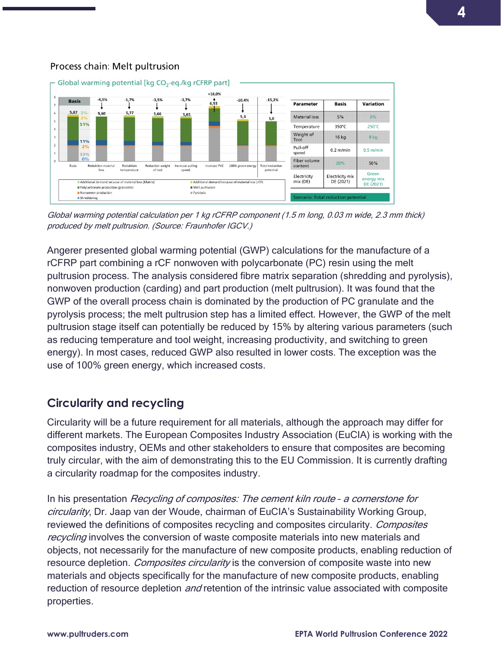#### Process chain: Melt pultrusion



Global warming potential calculation per 1 kg rCFRP component (1.5 m long, 0.03 m wide, 2.3 mm thick) produced by melt pultrusion. (Source: Fraunhofer IGCV.)

Angerer presented global warming potential (GWP) calculations for the manufacture of a rCFRP part combining a rCF nonwoven with polycarbonate (PC) resin using the melt pultrusion process. The analysis considered fibre matrix separation (shredding and pyrolysis), nonwoven production (carding) and part production (melt pultrusion). It was found that the GWP of the overall process chain is dominated by the production of PC granulate and the pyrolysis process; the melt pultrusion step has a limited effect. However, the GWP of the melt pultrusion stage itself can potentially be reduced by 15% by altering various parameters (such as reducing temperature and tool weight, increasing productivity, and switching to green energy). In most cases, reduced GWP also resulted in lower costs. The exception was the use of 100% green energy, which increased costs.

## **Circularity and recycling**

Circularity will be a future requirement for all materials, although the approach may differ for different markets. The European Composites Industry Association (EuCIA) is working with the composites industry, OEMs and other stakeholders to ensure that composites are becoming truly circular, with the aim of demonstrating this to the EU Commission. It is currently drafting a circularity roadmap for the composites industry.

In his presentation Recycling of composites: The cement kiln route - a cornerstone for circularity, Dr. Jaap van der Woude, chairman of EuCIA's Sustainability Working Group, reviewed the definitions of composites recycling and composites circularity. *Composites* recycling involves the conversion of waste composite materials into new materials and objects, not necessarily for the manufacture of new composite products, enabling reduction of resource depletion. *Composites circularity* is the conversion of composite waste into new materials and objects specifically for the manufacture of new composite products, enabling reduction of resource depletion *and* retention of the intrinsic value associated with composite properties.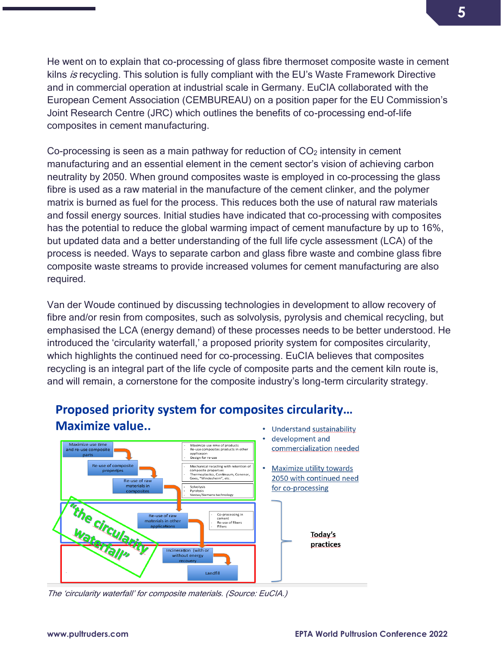He went on to explain that co-processing of glass fibre thermoset composite waste in cement kilns  $is$  recycling. This solution is fully compliant with the EU's Waste Framework Directive and in commercial operation at industrial scale in Germany. EuCIA collaborated with the European Cement Association (CEMBUREAU) on a position paper for the EU Commission's Joint Research Centre (JRC) which outlines the benefits of co-processing end-of-life composites in cement manufacturing.

Co-processing is seen as a main pathway for reduction of  $CO<sub>2</sub>$  intensity in cement manufacturing and an essential element in the cement sector's vision of achieving carbon neutrality by 2050. When ground composites waste is employed in co-processing the glass fibre is used as a raw material in the manufacture of the cement clinker, and the polymer matrix is burned as fuel for the process. This reduces both the use of natural raw materials and fossil energy sources. Initial studies have indicated that co-processing with composites has the potential to reduce the global warming impact of cement manufacture by up to 16%, but updated data and a better understanding of the full life cycle assessment (LCA) of the process is needed. Ways to separate carbon and glass fibre waste and combine glass fibre composite waste streams to provide increased volumes for cement manufacturing are also required.

Van der Woude continued by discussing technologies in development to allow recovery of fibre and/or resin from composites, such as solvolysis, pyrolysis and chemical recycling, but emphasised the LCA (energy demand) of these processes needs to be better understood. He introduced the 'circularity waterfall,' a proposed priority system for composites circularity, which highlights the continued need for co-processing. EuCIA believes that composites recycling is an integral part of the life cycle of composite parts and the cement kiln route is, and will remain, a cornerstone for the composite industry's long-term circularity strategy.



## Proposed priority system for composites circularity... Maximize value...

The 'circularity waterfall' for composite materials. (Source: EuCIA.)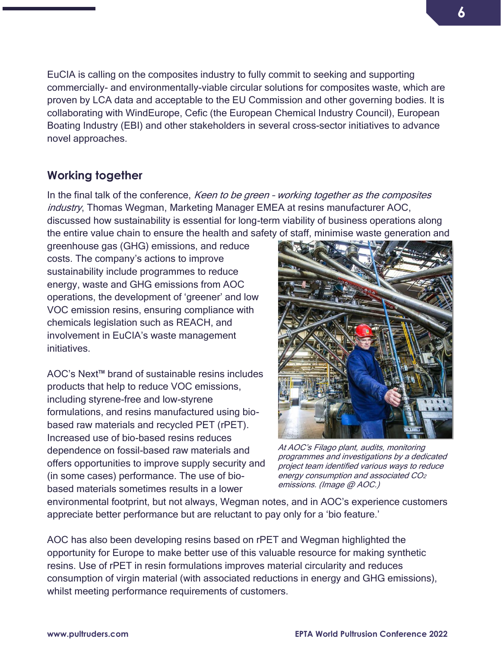EuCIA is calling on the composites industry to fully commit to seeking and supporting commercially- and environmentally-viable circular solutions for composites waste, which are proven by LCA data and acceptable to the EU Commission and other governing bodies. It is collaborating with WindEurope, Cefic (the European Chemical Industry Council), European Boating Industry (EBI) and other stakeholders in several cross-sector initiatives to advance novel approaches.

## **Working together**

In the final talk of the conference, *Keen to be green - working together as the composites* industry, Thomas Wegman, Marketing Manager EMEA at resins manufacturer AOC, discussed how sustainability is essential for long-term viability of business operations along the entire value chain to ensure the health and safety of staff, minimise waste generation and

greenhouse gas (GHG) emissions, and reduce costs. The company's actions to improve sustainability include programmes to reduce energy, waste and GHG emissions from AOC operations, the development of 'greener' and low VOC emission resins, ensuring compliance with chemicals legislation such as REACH, and involvement in EuCIA's waste management initiatives.

AOC's Next™ brand of sustainable resins includes products that help to reduce VOC emissions, including styrene-free and low-styrene formulations, and resins manufactured using biobased raw materials and recycled PET (rPET). Increased use of bio-based resins reduces dependence on fossil-based raw materials and offers opportunities to improve supply security and (in some cases) performance. The use of biobased materials sometimes results in a lower



At AOC's Filago plant, audits, monitoring programmes and investigations by a dedicated project team identified various ways to reduce energy consumption and associated CO<sup>2</sup> emissions. (Image @ AOC.)

environmental footprint, but not always, Wegman notes, and in AOC's experience customers appreciate better performance but are reluctant to pay only for a 'bio feature.'

AOC has also been developing resins based on rPET and Wegman highlighted the opportunity for Europe to make better use of this valuable resource for making synthetic resins. Use of rPET in resin formulations improves material circularity and reduces consumption of virgin material (with associated reductions in energy and GHG emissions), whilst meeting performance requirements of customers.